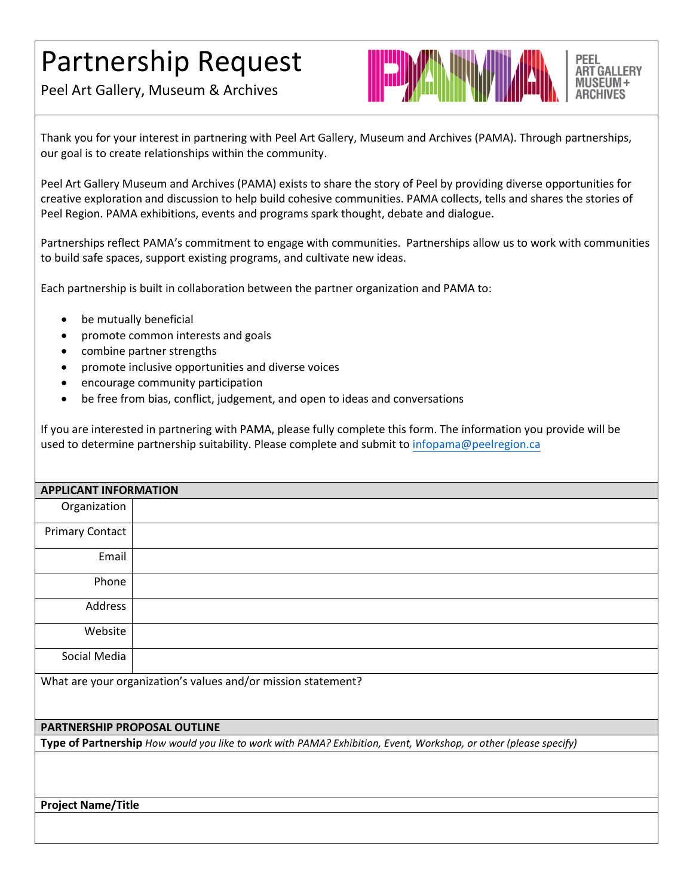## Partnership Request

Peel Art Gallery, Museum & Archives



Thank you for your interest in partnering with Peel Art Gallery, Museum and Archives (PAMA). Through partnerships, our goal is to create relationships within the community.

Peel Art Gallery Museum and Archives (PAMA) exists to share the story of Peel by providing diverse opportunities for creative exploration and discussion to help build cohesive communities. PAMA collects, tells and shares the stories of Peel Region. PAMA [exhibitions,](https://pama.peelregion.ca/en/exhibitions.asp) [events and programs](https://pama.peelregion.ca/en/programseventsandschoolresources.asp) spark thought, debate and dialogue.

Partnerships reflect PAMA's commitment to engage with communities. Partnerships allow us to work with communities to build safe spaces, support existing programs, and cultivate new ideas.

Each partnership is built in collaboration between the partner organization and PAMA to:

- be mutually beneficial
- promote common interests and goals
- combine partner strengths
- promote inclusive opportunities and diverse voices
- encourage community participation
- be free from bias, conflict, judgement, and open to ideas and conversations

If you are interested in partnering with PAMA, please fully complete this form. The information you provide will be used to determine partnership suitability. Please complete and submit to [infopama@peelregio](mailto:infopama@peelregion.ca)n.ca

| <b>APPLICANT INFORMATION</b>                                                                                     |  |  |  |  |
|------------------------------------------------------------------------------------------------------------------|--|--|--|--|
| Organization                                                                                                     |  |  |  |  |
| <b>Primary Contact</b>                                                                                           |  |  |  |  |
| Email                                                                                                            |  |  |  |  |
| Phone                                                                                                            |  |  |  |  |
| Address                                                                                                          |  |  |  |  |
| Website                                                                                                          |  |  |  |  |
| Social Media                                                                                                     |  |  |  |  |
| What are your organization's values and/or mission statement?                                                    |  |  |  |  |
| PARTNERSHIP PROPOSAL OUTLINE                                                                                     |  |  |  |  |
| Type of Partnership How would you like to work with PAMA? Exhibition, Event, Workshop, or other (please specify) |  |  |  |  |
|                                                                                                                  |  |  |  |  |
|                                                                                                                  |  |  |  |  |
| <b>Project Name/Title</b>                                                                                        |  |  |  |  |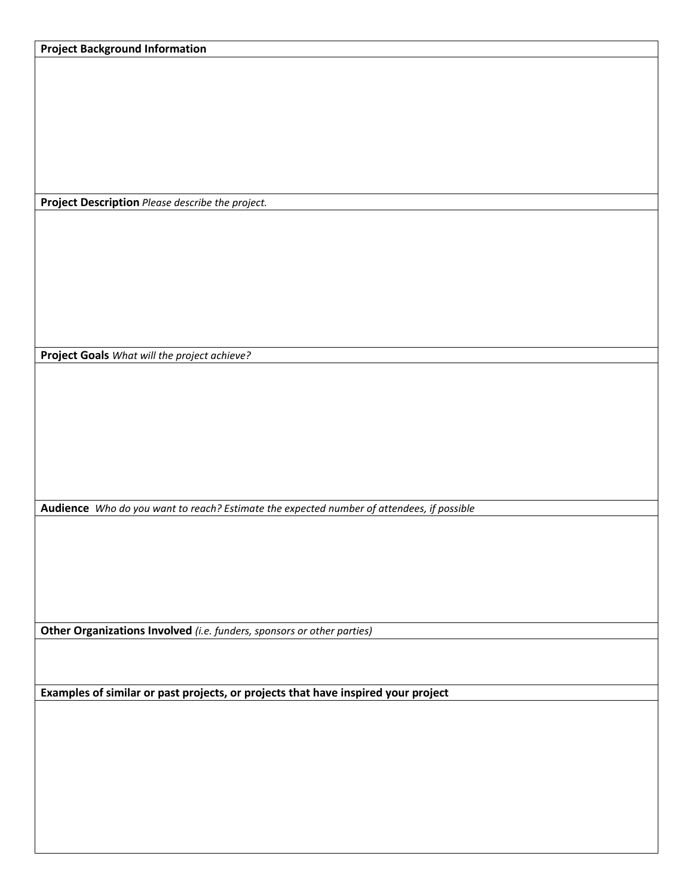**Project Description** *Please describe the project.*

**Project Goals** *What will the project achieve?*

**Audience** *Who do you want to reach? Estimate the expected number of attendees, if possible*

**Other Organizations Involved** *(i.e. funders, sponsors or other parties)*

**Examples of similar or past projects, or projects that have inspired your project**